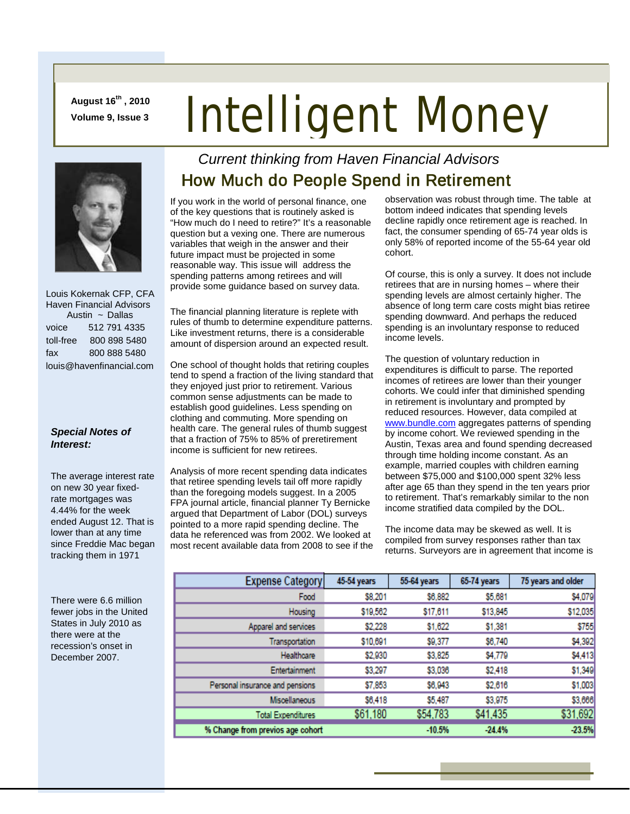**August 16th , 2010 Volume 9, Issue 3**

# Intelligent Money



 Louis Kokernak CFP, CFA Haven Financial Advisors Austin  $\sim$  Dallas voice 512 791 4335 toll-free 800 898 5480 fax 800 888 5480 louis@havenfinancial.com

#### *Special Notes of Interest:*

The average interest rate on new 30 year fixedrate mortgages was 4.44% for the week ended August 12. That is lower than at any time since Freddie Mac began tracking them in 1971

There were 6.6 million fewer jobs in the United States in July 2010 as there were at the recession's onset in December 2007.

### *Current thinking from Haven Financial Advisors*  How Much do People Spend in Retirement

If you work in the world of personal finance, one of the key questions that is routinely asked is "How much do I need to retire?" It's a reasonable question but a vexing one. There are numerous variables that weigh in the answer and their future impact must be projected in some reasonable way. This issue will address the spending patterns among retirees and will provide some guidance based on survey data.

The financial planning literature is replete with rules of thumb to determine expenditure patterns. Like investment returns, there is a considerable amount of dispersion around an expected result.

One school of thought holds that retiring couples tend to spend a fraction of the living standard that they enjoyed just prior to retirement. Various common sense adjustments can be made to establish good guidelines. Less spending on clothing and commuting. More spending on health care. The general rules of thumb suggest that a fraction of 75% to 85% of preretirement income is sufficient for new retirees.

Analysis of more recent spending data indicates that retiree spending levels tail off more rapidly than the foregoing models suggest. In a 2005 FPA journal article, financial planner Ty Bernicke argued that Department of Labor (DOL) surveys pointed to a more rapid spending decline. The data he referenced was from 2002. We looked at most recent available data from 2008 to see if the observation was robust through time. The table at bottom indeed indicates that spending levels decline rapidly once retirement age is reached. In fact, the consumer spending of 65-74 year olds is only 58% of reported income of the 55-64 year old cohort.

Of course, this is only a survey. It does not include retirees that are in nursing homes – where their spending levels are almost certainly higher. The absence of long term care costs might bias retiree spending downward. And perhaps the reduced spending is an involuntary response to reduced income levels.

The question of voluntary reduction in expenditures is difficult to parse. The reported incomes of retirees are lower than their younger cohorts. We could infer that diminished spending in retirement is involuntary and prompted by reduced resources. However, data compiled at [www.bundle.com](http://www.bundle.com/) aggregates patterns of spending by income cohort. We reviewed spending in the Austin, Texas area and found spending decreased through time holding income constant. As an example, married couples with children earning between \$75,000 and \$100,000 spent 32% less after age 65 than they spend in the ten years prior to retirement. That's remarkably similar to the non income stratified data compiled by the DOL.

The income data may be skewed as well. It is compiled from survey responses rather than tax returns. Surveyors are in agreement that income is

| <b>Expense Category</b>          | 45-54 years | 55-64 years | 65-74 years | 75 years and older |
|----------------------------------|-------------|-------------|-------------|--------------------|
| Food                             | \$8,201     | \$6,882     | \$5,681     | \$4,079            |
| Housing                          | \$19,562    | \$17,611    | \$13,845    | \$12,035           |
| Apparel and services             | \$2,228     | \$1,622     | \$1,381     | \$755              |
| Transportation                   | \$10,691    | \$9,377     | \$6,740     | \$4,392            |
| Healthcare                       | \$2,930     | \$3,825     | \$4,779     | \$4,413            |
| Entertainment                    | \$3,297     | \$3,036     | \$2,418     | \$1,349            |
| Personal insurance and pensions  | \$7,853     | \$6,943     | \$2,616     | \$1,003            |
| Miscellaneous                    | \$6,418     | \$5,487     | \$3,975     | \$3,666            |
| <b>Total Expenditures</b>        | \$61,180    | \$54,783    | \$41,435    | \$31,692           |
| % Change from previos age cohort |             | $-10.5%$    | $-24.4%$    | $-23.5%$           |